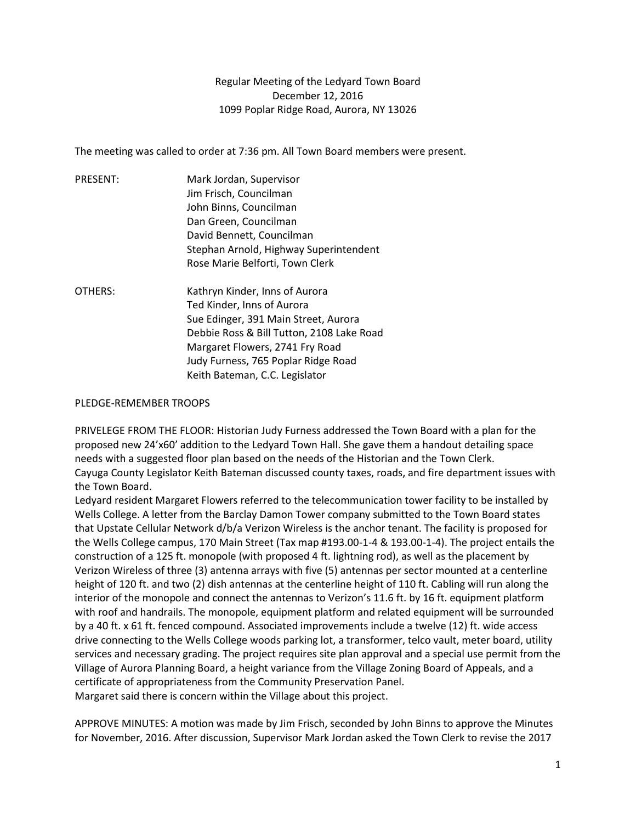Regular Meeting of the Ledyard Town Board December 12, 2016 1099 Poplar Ridge Road, Aurora, NY 13026

The meeting was called to order at 7:36 pm. All Town Board members were present.

| PRESENT: | Mark Jordan, Supervisor                   |
|----------|-------------------------------------------|
|          | Jim Frisch, Councilman                    |
|          | John Binns, Councilman                    |
|          | Dan Green, Councilman                     |
|          | David Bennett, Councilman                 |
|          | Stephan Arnold, Highway Superintendent    |
|          | Rose Marie Belforti, Town Clerk           |
| OTHERS:  | Kathryn Kinder, Inns of Aurora            |
|          | Ted Kinder, Inns of Aurora                |
|          | Sue Edinger, 391 Main Street, Aurora      |
|          | Debbie Ross & Bill Tutton, 2108 Lake Road |
|          | Margaret Flowers, 2741 Fry Road           |
|          | Judy Furness, 765 Poplar Ridge Road       |
|          | Keith Bateman, C.C. Legislator            |

## PLEDGE-REMEMBER TROOPS

PRIVELEGE FROM THE FLOOR: Historian Judy Furness addressed the Town Board with a plan for the proposed new 24'x60' addition to the Ledyard Town Hall. She gave them a handout detailing space needs with a suggested floor plan based on the needs of the Historian and the Town Clerk. Cayuga County Legislator Keith Bateman discussed county taxes, roads, and fire department issues with the Town Board.

Ledyard resident Margaret Flowers referred to the telecommunication tower facility to be installed by Wells College. A letter from the Barclay Damon Tower company submitted to the Town Board states that Upstate Cellular Network d/b/a Verizon Wireless is the anchor tenant. The facility is proposed for the Wells College campus, 170 Main Street (Tax map #193.00-1-4 & 193.00-1-4). The project entails the construction of a 125 ft. monopole (with proposed 4 ft. lightning rod), as well as the placement by Verizon Wireless of three (3) antenna arrays with five (5) antennas per sector mounted at a centerline height of 120 ft. and two (2) dish antennas at the centerline height of 110 ft. Cabling will run along the interior of the monopole and connect the antennas to Verizon's 11.6 ft. by 16 ft. equipment platform with roof and handrails. The monopole, equipment platform and related equipment will be surrounded by a 40 ft. x 61 ft. fenced compound. Associated improvements include a twelve (12) ft. wide access drive connecting to the Wells College woods parking lot, a transformer, telco vault, meter board, utility services and necessary grading. The project requires site plan approval and a special use permit from the Village of Aurora Planning Board, a height variance from the Village Zoning Board of Appeals, and a certificate of appropriateness from the Community Preservation Panel. Margaret said there is concern within the Village about this project.

APPROVE MINUTES: A motion was made by Jim Frisch, seconded by John Binns to approve the Minutes for November, 2016. After discussion, Supervisor Mark Jordan asked the Town Clerk to revise the 2017